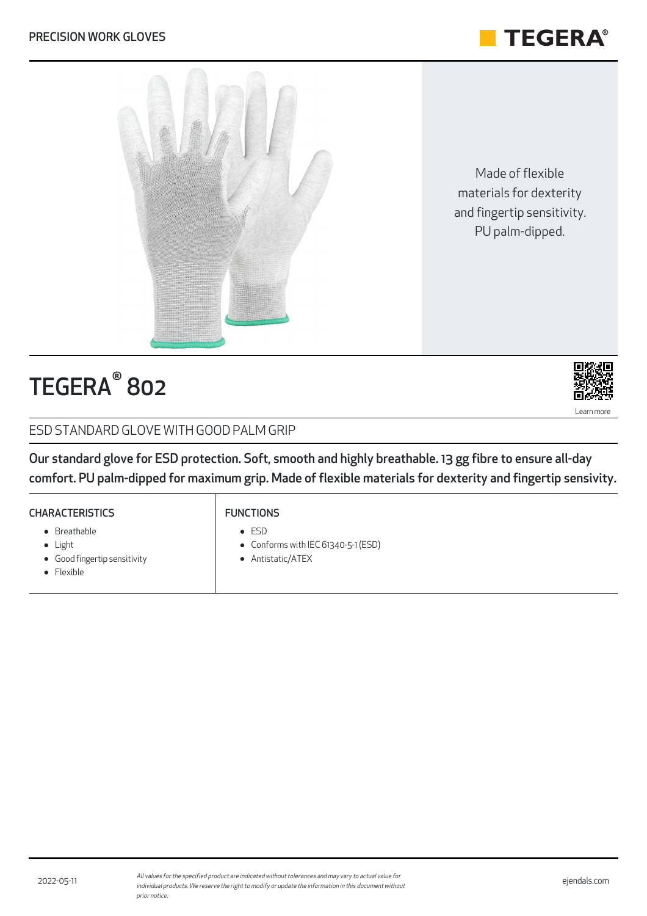

Made of flexible materials for dexterity and fingertip sensitivity. PU palm-dipped.



# ${\sf TEGERA}^\circ$  802



### ESD STANDARD GLOVE WITH GOOD PALM GRIP

Our standard glove for ESD protection. Soft, smooth and highly breathable. 13 gg fibre to ensure all-day comfort. PU palm-dipped for maximum grip. Made of flexible materials for dexterity and fingertip sensivity.

### **CHARACTERISTICS** • Breathable

Good fingertip sensitivity

- FUNCTIONS
	- ESD
	- Conforms with IEC 61340-5-1 (ESD)
- Antistatic/ATEX
- Flexible

• Light